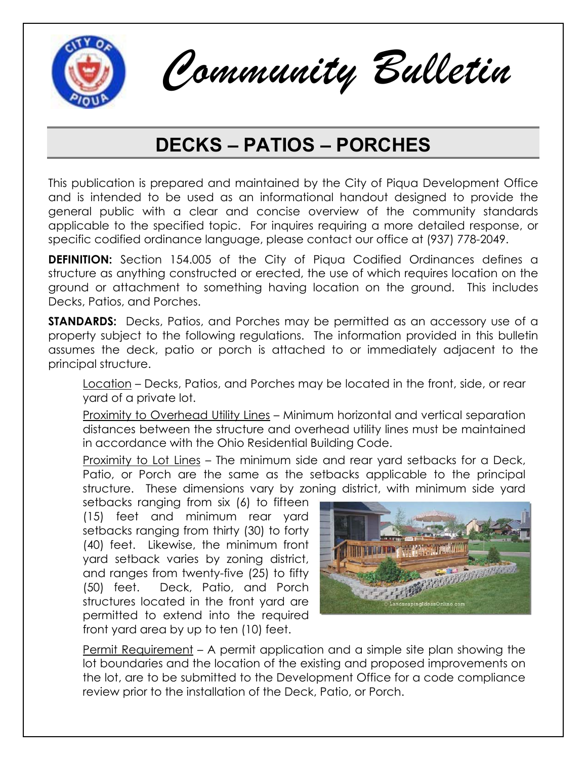

*Community Bulletin*

## **DECKS – PATIOS – PORCHES**

This publication is prepared and maintained by the City of Piqua Development Office and is intended to be used as an informational handout designed to provide the general public with a clear and concise overview of the community standards applicable to the specified topic. For inquires requiring a more detailed response, or specific codified ordinance language, please contact our office at (937) 778-2049.

**DEFINITION:** Section 154.005 of the City of Piqua Codified Ordinances defines a structure as anything constructed or erected, the use of which requires location on the ground or attachment to something having location on the ground. This includes Decks, Patios, and Porches.

**STANDARDS:** Decks, Patios, and Porches may be permitted as an accessory use of a property subject to the following regulations. The information provided in this bulletin assumes the deck, patio or porch is attached to or immediately adjacent to the principal structure.

Location – Decks, Patios, and Porches may be located in the front, side, or rear yard of a private lot.

Proximity to Overhead Utility Lines – Minimum horizontal and vertical separation distances between the structure and overhead utility lines must be maintained in accordance with the Ohio Residential Building Code.

Proximity to Lot Lines – The minimum side and rear yard setbacks for a Deck, Patio, or Porch are the same as the setbacks applicable to the principal structure. These dimensions vary by zoning district, with minimum side yard

setbacks ranging from six (6) to fifteen (15) feet and minimum rear yard setbacks ranging from thirty (30) to forty (40) feet. Likewise, the minimum front yard setback varies by zoning district, and ranges from twenty-five (25) to fifty (50) feet. Deck, Patio, and Porch structures located in the front yard are permitted to extend into the required front yard area by up to ten (10) feet.



Permit Requirement – A permit application and a simple site plan showing the lot boundaries and the location of the existing and proposed improvements on the lot, are to be submitted to the Development Office for a code compliance review prior to the installation of the Deck, Patio, or Porch.